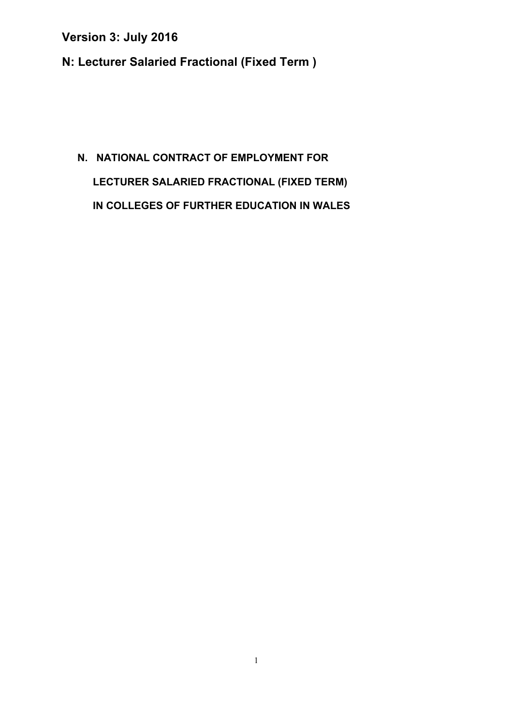**N: Lecturer Salaried Fractional (Fixed Term )** 

# **N. NATIONAL CONTRACT OF EMPLOYMENT FOR LECTURER SALARIED FRACTIONAL (FIXED TERM) IN COLLEGES OF FURTHER EDUCATION IN WALES**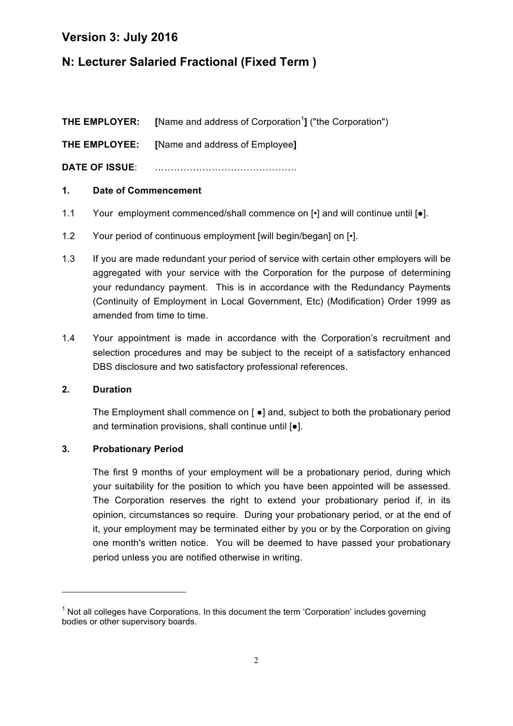# **N: Lecturer Salaried Fractional (Fixed Term )**

**THE EMPLOYER:** [Name and address of Corporation<sup>1</sup>] ("the Corporation") **THE EMPLOYEE: [**Name and address of Employee**] DATE OF ISSUE**: ………………………………………

#### **1. Date of Commencement**

- 1.1 Your employment commenced/shall commence on  $\lceil \cdot \rceil$  and will continue until  $\lceil \bullet \rceil$ .
- 1.2 Your period of continuous employment [will begin/began] on [ $\cdot$ ].
- 1.3 If you are made redundant your period of service with certain other employers will be aggregated with your service with the Corporation for the purpose of determining your redundancy payment. This is in accordance with the Redundancy Payments (Continuity of Employment in Local Government, Etc) (Modification) Order 1999 as amended from time to time.
- 1.4 Your appointment is made in accordance with the Corporation's recruitment and selection procedures and may be subject to the receipt of a satisfactory enhanced DBS disclosure and two satisfactory professional references.

#### **2. Duration**

The Employment shall commence on [ ●] and, subject to both the probationary period and termination provisions, shall continue until [●].

#### **3. Probationary Period**

<u> 1989 - Jan Samuel Barbara, político establecido de la provincia de la provincia de la provincia de la provinci</u>

The first 9 months of your employment will be a probationary period, during which your suitability for the position to which you have been appointed will be assessed. The Corporation reserves the right to extend your probationary period if, in its opinion, circumstances so require. During your probationary period, or at the end of it, your employment may be terminated either by you or by the Corporation on giving one month's written notice. You will be deemed to have passed your probationary period unless you are notified otherwise in writing.

 $1$  Not all colleges have Corporations. In this document the term 'Corporation' includes governing bodies or other supervisory boards.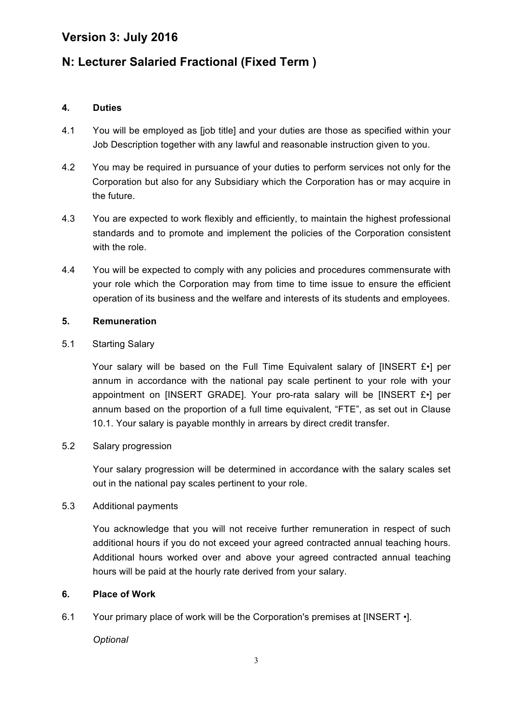# **N: Lecturer Salaried Fractional (Fixed Term )**

#### **4. Duties**

- 4.1 You will be employed as [job title] and your duties are those as specified within your Job Description together with any lawful and reasonable instruction given to you.
- 4.2 You may be required in pursuance of your duties to perform services not only for the Corporation but also for any Subsidiary which the Corporation has or may acquire in the future.
- 4.3 You are expected to work flexibly and efficiently, to maintain the highest professional standards and to promote and implement the policies of the Corporation consistent with the role.
- 4.4 You will be expected to comply with any policies and procedures commensurate with your role which the Corporation may from time to time issue to ensure the efficient operation of its business and the welfare and interests of its students and employees.

#### **5. Remuneration**

#### 5.1 Starting Salary

Your salary will be based on the Full Time Equivalent salary of [INSERT £•] per annum in accordance with the national pay scale pertinent to your role with your appointment on [INSERT GRADE]. Your pro-rata salary will be [INSERT £•] per annum based on the proportion of a full time equivalent, "FTE", as set out in Clause 10.1. Your salary is payable monthly in arrears by direct credit transfer.

#### 5.2 Salary progression

Your salary progression will be determined in accordance with the salary scales set out in the national pay scales pertinent to your role.

#### 5.3 Additional payments

You acknowledge that you will not receive further remuneration in respect of such additional hours if you do not exceed your agreed contracted annual teaching hours. Additional hours worked over and above your agreed contracted annual teaching hours will be paid at the hourly rate derived from your salary.

#### **6. Place of Work**

6.1 Your primary place of work will be the Corporation's premises at [INSERT •].

*Optional*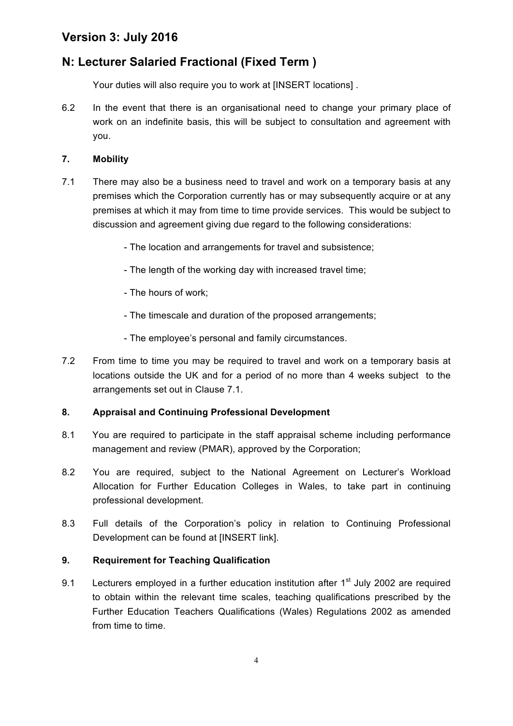# **N: Lecturer Salaried Fractional (Fixed Term )**

Your duties will also require you to work at [INSERT locations] .

6.2 In the event that there is an organisational need to change your primary place of work on an indefinite basis, this will be subject to consultation and agreement with you.

#### **7. Mobility**

- 7.1 There may also be a business need to travel and work on a temporary basis at any premises which the Corporation currently has or may subsequently acquire or at any premises at which it may from time to time provide services. This would be subject to discussion and agreement giving due regard to the following considerations:
	- The location and arrangements for travel and subsistence;
	- The length of the working day with increased travel time;
	- The hours of work;
	- The timescale and duration of the proposed arrangements;
	- The employee's personal and family circumstances.
- 7.2 From time to time you may be required to travel and work on a temporary basis at locations outside the UK and for a period of no more than 4 weeks subject to the arrangements set out in Clause 7.1.

#### **8. Appraisal and Continuing Professional Development**

- 8.1 You are required to participate in the staff appraisal scheme including performance management and review (PMAR), approved by the Corporation;
- 8.2 You are required, subject to the National Agreement on Lecturer's Workload Allocation for Further Education Colleges in Wales, to take part in continuing professional development.
- 8.3 Full details of the Corporation's policy in relation to Continuing Professional Development can be found at [INSERT link].

#### **9. Requirement for Teaching Qualification**

9.1 Lecturers employed in a further education institution after  $1<sup>st</sup>$  July 2002 are required to obtain within the relevant time scales, teaching qualifications prescribed by the Further Education Teachers Qualifications (Wales) Regulations 2002 as amended from time to time.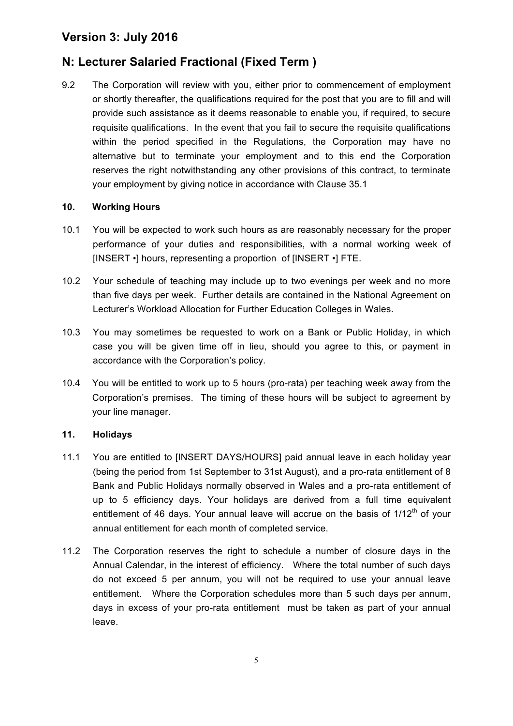# **N: Lecturer Salaried Fractional (Fixed Term )**

9.2 The Corporation will review with you, either prior to commencement of employment or shortly thereafter, the qualifications required for the post that you are to fill and will provide such assistance as it deems reasonable to enable you, if required, to secure requisite qualifications. In the event that you fail to secure the requisite qualifications within the period specified in the Regulations, the Corporation may have no alternative but to terminate your employment and to this end the Corporation reserves the right notwithstanding any other provisions of this contract, to terminate your employment by giving notice in accordance with Clause 35.1

#### **10. Working Hours**

- 10.1 You will be expected to work such hours as are reasonably necessary for the proper performance of your duties and responsibilities, with a normal working week of [INSERT •] hours, representing a proportion of [INSERT •] FTE.
- 10.2 Your schedule of teaching may include up to two evenings per week and no more than five days per week. Further details are contained in the National Agreement on Lecturer's Workload Allocation for Further Education Colleges in Wales.
- 10.3 You may sometimes be requested to work on a Bank or Public Holiday, in which case you will be given time off in lieu, should you agree to this, or payment in accordance with the Corporation's policy.
- 10.4 You will be entitled to work up to 5 hours (pro-rata) per teaching week away from the Corporation's premises. The timing of these hours will be subject to agreement by your line manager.

#### **11. Holidays**

- 11.1 You are entitled to [INSERT DAYS/HOURS] paid annual leave in each holiday year (being the period from 1st September to 31st August), and a pro-rata entitlement of 8 Bank and Public Holidays normally observed in Wales and a pro-rata entitlement of up to 5 efficiency days. Your holidays are derived from a full time equivalent entitlement of 46 days. Your annual leave will accrue on the basis of  $1/12<sup>th</sup>$  of your annual entitlement for each month of completed service.
- 11.2 The Corporation reserves the right to schedule a number of closure days in the Annual Calendar, in the interest of efficiency. Where the total number of such days do not exceed 5 per annum, you will not be required to use your annual leave entitlement. Where the Corporation schedules more than 5 such days per annum, days in excess of your pro-rata entitlement must be taken as part of your annual leave.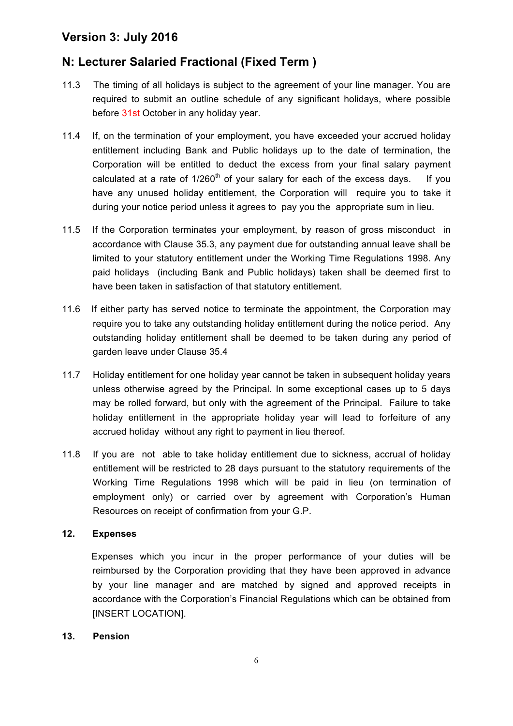# **N: Lecturer Salaried Fractional (Fixed Term )**

- 11.3 The timing of all holidays is subject to the agreement of your line manager. You are required to submit an outline schedule of any significant holidays, where possible before 31st October in any holiday year.
- 11.4 If, on the termination of your employment, you have exceeded your accrued holiday entitlement including Bank and Public holidays up to the date of termination, the Corporation will be entitled to deduct the excess from your final salary payment calculated at a rate of  $1/260<sup>th</sup>$  of your salary for each of the excess days. If you have any unused holiday entitlement, the Corporation will require you to take it during your notice period unless it agrees to pay you the appropriate sum in lieu.
- 11.5 If the Corporation terminates your employment, by reason of gross misconduct in accordance with Clause 35.3, any payment due for outstanding annual leave shall be limited to your statutory entitlement under the Working Time Regulations 1998. Any paid holidays (including Bank and Public holidays) taken shall be deemed first to have been taken in satisfaction of that statutory entitlement.
- 11.6 If either party has served notice to terminate the appointment, the Corporation may require you to take any outstanding holiday entitlement during the notice period. Any outstanding holiday entitlement shall be deemed to be taken during any period of garden leave under Clause 35.4
- 11.7 Holiday entitlement for one holiday year cannot be taken in subsequent holiday years unless otherwise agreed by the Principal. In some exceptional cases up to 5 days may be rolled forward, but only with the agreement of the Principal. Failure to take holiday entitlement in the appropriate holiday year will lead to forfeiture of any accrued holiday without any right to payment in lieu thereof.
- 11.8 If you are not able to take holiday entitlement due to sickness, accrual of holiday entitlement will be restricted to 28 days pursuant to the statutory requirements of the Working Time Regulations 1998 which will be paid in lieu (on termination of employment only) or carried over by agreement with Corporation's Human Resources on receipt of confirmation from your G.P.

#### **12. Expenses**

Expenses which you incur in the proper performance of your duties will be reimbursed by the Corporation providing that they have been approved in advance by your line manager and are matched by signed and approved receipts in accordance with the Corporation's Financial Regulations which can be obtained from [INSERT LOCATION].

#### **13. Pension**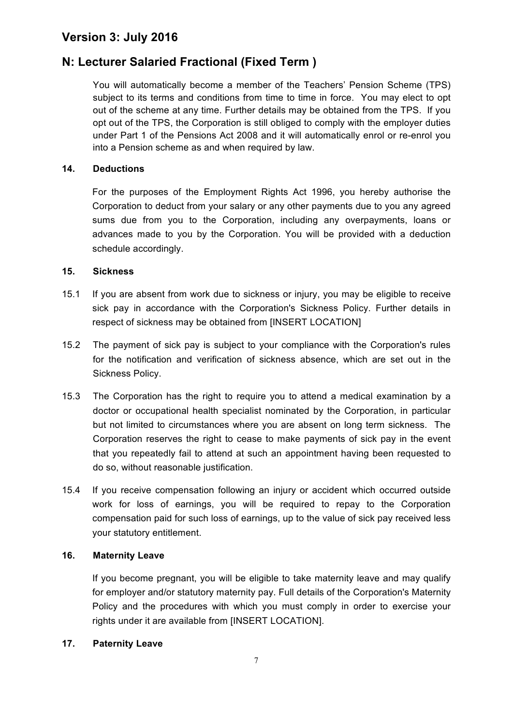# **N: Lecturer Salaried Fractional (Fixed Term )**

You will automatically become a member of the Teachers' Pension Scheme (TPS) subject to its terms and conditions from time to time in force. You may elect to opt out of the scheme at any time. Further details may be obtained from the TPS. If you opt out of the TPS, the Corporation is still obliged to comply with the employer duties under Part 1 of the Pensions Act 2008 and it will automatically enrol or re-enrol you into a Pension scheme as and when required by law.

#### **14. Deductions**

For the purposes of the Employment Rights Act 1996, you hereby authorise the Corporation to deduct from your salary or any other payments due to you any agreed sums due from you to the Corporation, including any overpayments, loans or advances made to you by the Corporation. You will be provided with a deduction schedule accordingly.

#### **15. Sickness**

- 15.1 If you are absent from work due to sickness or injury, you may be eligible to receive sick pay in accordance with the Corporation's Sickness Policy. Further details in respect of sickness may be obtained from [INSERT LOCATION]
- 15.2 The payment of sick pay is subject to your compliance with the Corporation's rules for the notification and verification of sickness absence, which are set out in the Sickness Policy.
- 15.3 The Corporation has the right to require you to attend a medical examination by a doctor or occupational health specialist nominated by the Corporation, in particular but not limited to circumstances where you are absent on long term sickness. The Corporation reserves the right to cease to make payments of sick pay in the event that you repeatedly fail to attend at such an appointment having been requested to do so, without reasonable justification.
- 15.4 If you receive compensation following an injury or accident which occurred outside work for loss of earnings, you will be required to repay to the Corporation compensation paid for such loss of earnings, up to the value of sick pay received less your statutory entitlement.

#### **16. Maternity Leave**

If you become pregnant, you will be eligible to take maternity leave and may qualify for employer and/or statutory maternity pay. Full details of the Corporation's Maternity Policy and the procedures with which you must comply in order to exercise your rights under it are available from [INSERT LOCATION].

#### **17. Paternity Leave**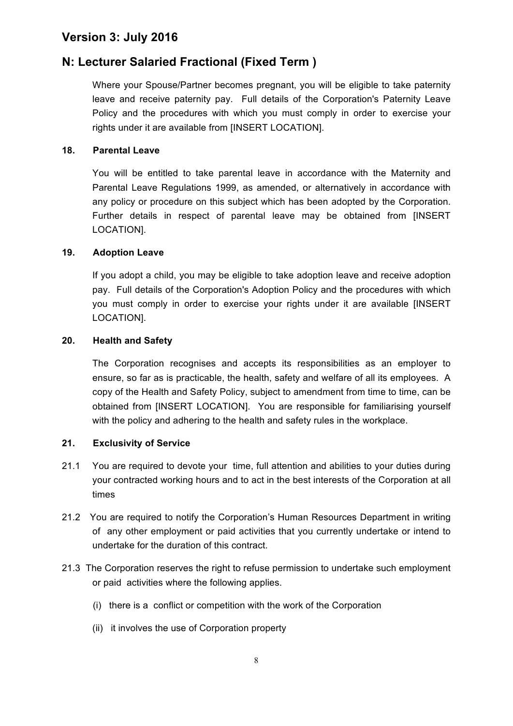# **N: Lecturer Salaried Fractional (Fixed Term )**

Where your Spouse/Partner becomes pregnant, you will be eligible to take paternity leave and receive paternity pay. Full details of the Corporation's Paternity Leave Policy and the procedures with which you must comply in order to exercise your rights under it are available from [INSERT LOCATION].

#### **18. Parental Leave**

You will be entitled to take parental leave in accordance with the Maternity and Parental Leave Regulations 1999, as amended, or alternatively in accordance with any policy or procedure on this subject which has been adopted by the Corporation. Further details in respect of parental leave may be obtained from [INSERT LOCATION].

#### **19. Adoption Leave**

If you adopt a child, you may be eligible to take adoption leave and receive adoption pay. Full details of the Corporation's Adoption Policy and the procedures with which you must comply in order to exercise your rights under it are available [INSERT LOCATION].

#### **20. Health and Safety**

The Corporation recognises and accepts its responsibilities as an employer to ensure, so far as is practicable, the health, safety and welfare of all its employees. A copy of the Health and Safety Policy, subject to amendment from time to time, can be obtained from [INSERT LOCATION]. You are responsible for familiarising yourself with the policy and adhering to the health and safety rules in the workplace.

#### **21. Exclusivity of Service**

- 21.1 You are required to devote your time, full attention and abilities to your duties during your contracted working hours and to act in the best interests of the Corporation at all times
- 21.2 You are required to notify the Corporation's Human Resources Department in writing of any other employment or paid activities that you currently undertake or intend to undertake for the duration of this contract.
- 21.3 The Corporation reserves the right to refuse permission to undertake such employment or paid activities where the following applies.
	- (i) there is a conflict or competition with the work of the Corporation
	- (ii) it involves the use of Corporation property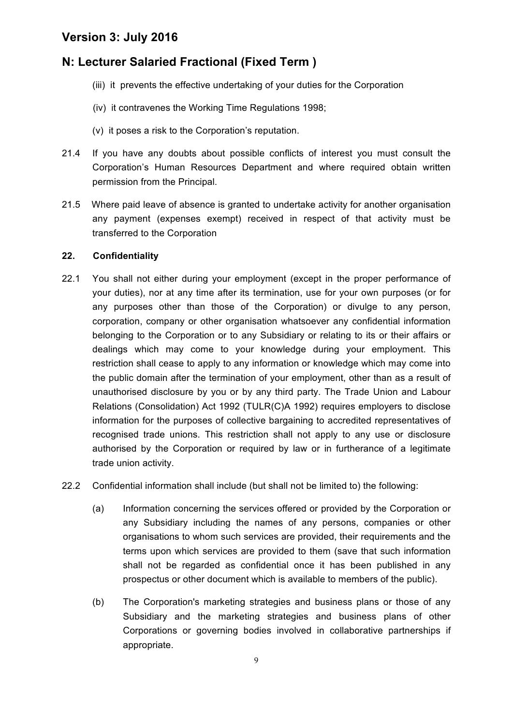# **N: Lecturer Salaried Fractional (Fixed Term )**

- (iii) it prevents the effective undertaking of your duties for the Corporation
- (iv) it contravenes the Working Time Regulations 1998;
- (v) it poses a risk to the Corporation's reputation.
- 21.4 If you have any doubts about possible conflicts of interest you must consult the Corporation's Human Resources Department and where required obtain written permission from the Principal.
- 21.5 Where paid leave of absence is granted to undertake activity for another organisation any payment (expenses exempt) received in respect of that activity must be transferred to the Corporation

#### **22. Confidentiality**

- 22.1 You shall not either during your employment (except in the proper performance of your duties), nor at any time after its termination, use for your own purposes (or for any purposes other than those of the Corporation) or divulge to any person, corporation, company or other organisation whatsoever any confidential information belonging to the Corporation or to any Subsidiary or relating to its or their affairs or dealings which may come to your knowledge during your employment. This restriction shall cease to apply to any information or knowledge which may come into the public domain after the termination of your employment, other than as a result of unauthorised disclosure by you or by any third party. The Trade Union and Labour Relations (Consolidation) Act 1992 (TULR(C)A 1992) requires employers to disclose information for the purposes of collective bargaining to accredited representatives of recognised trade unions. This restriction shall not apply to any use or disclosure authorised by the Corporation or required by law or in furtherance of a legitimate trade union activity.
- 22.2 Confidential information shall include (but shall not be limited to) the following:
	- (a) Information concerning the services offered or provided by the Corporation or any Subsidiary including the names of any persons, companies or other organisations to whom such services are provided, their requirements and the terms upon which services are provided to them (save that such information shall not be regarded as confidential once it has been published in any prospectus or other document which is available to members of the public).
	- (b) The Corporation's marketing strategies and business plans or those of any Subsidiary and the marketing strategies and business plans of other Corporations or governing bodies involved in collaborative partnerships if appropriate.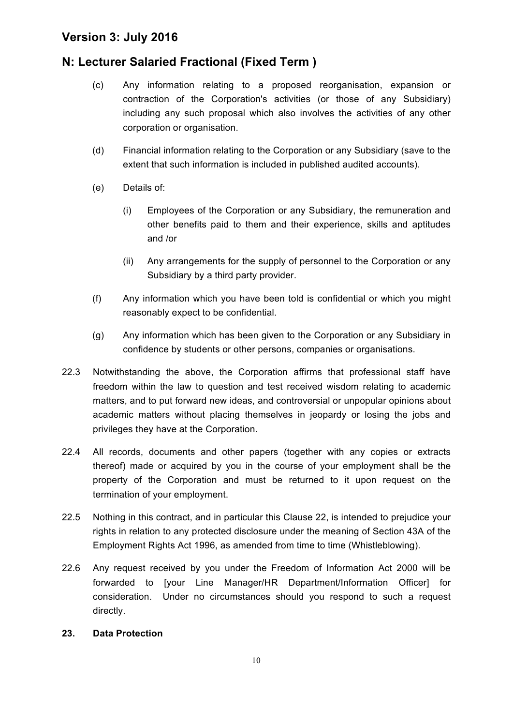# **N: Lecturer Salaried Fractional (Fixed Term )**

- (c) Any information relating to a proposed reorganisation, expansion or contraction of the Corporation's activities (or those of any Subsidiary) including any such proposal which also involves the activities of any other corporation or organisation.
- (d) Financial information relating to the Corporation or any Subsidiary (save to the extent that such information is included in published audited accounts).
- (e) Details of:
	- (i) Employees of the Corporation or any Subsidiary, the remuneration and other benefits paid to them and their experience, skills and aptitudes and /or
	- (ii) Any arrangements for the supply of personnel to the Corporation or any Subsidiary by a third party provider.
- (f) Any information which you have been told is confidential or which you might reasonably expect to be confidential.
- (g) Any information which has been given to the Corporation or any Subsidiary in confidence by students or other persons, companies or organisations.
- 22.3 Notwithstanding the above, the Corporation affirms that professional staff have freedom within the law to question and test received wisdom relating to academic matters, and to put forward new ideas, and controversial or unpopular opinions about academic matters without placing themselves in jeopardy or losing the jobs and privileges they have at the Corporation.
- 22.4 All records, documents and other papers (together with any copies or extracts thereof) made or acquired by you in the course of your employment shall be the property of the Corporation and must be returned to it upon request on the termination of your employment.
- 22.5 Nothing in this contract, and in particular this Clause 22, is intended to prejudice your rights in relation to any protected disclosure under the meaning of Section 43A of the Employment Rights Act 1996, as amended from time to time (Whistleblowing).
- 22.6 Any request received by you under the Freedom of Information Act 2000 will be forwarded to [your Line Manager/HR Department/Information Officer] for consideration. Under no circumstances should you respond to such a request directly.

#### **23. Data Protection**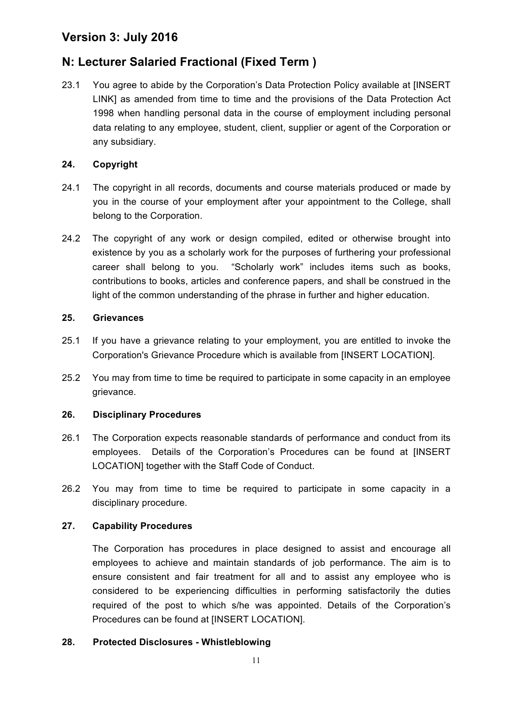# **N: Lecturer Salaried Fractional (Fixed Term )**

23.1 You agree to abide by the Corporation's Data Protection Policy available at [INSERT LINK] as amended from time to time and the provisions of the Data Protection Act 1998 when handling personal data in the course of employment including personal data relating to any employee, student, client, supplier or agent of the Corporation or any subsidiary.

#### **24. Copyright**

- 24.1 The copyright in all records, documents and course materials produced or made by you in the course of your employment after your appointment to the College, shall belong to the Corporation.
- 24.2 The copyright of any work or design compiled, edited or otherwise brought into existence by you as a scholarly work for the purposes of furthering your professional career shall belong to you. "Scholarly work" includes items such as books, contributions to books, articles and conference papers, and shall be construed in the light of the common understanding of the phrase in further and higher education.

#### **25. Grievances**

- 25.1 If you have a grievance relating to your employment, you are entitled to invoke the Corporation's Grievance Procedure which is available from [INSERT LOCATION].
- 25.2 You may from time to time be required to participate in some capacity in an employee grievance.

#### **26. Disciplinary Procedures**

- 26.1 The Corporation expects reasonable standards of performance and conduct from its employees. Details of the Corporation's Procedures can be found at [INSERT LOCATION] together with the Staff Code of Conduct.
- 26.2 You may from time to time be required to participate in some capacity in a disciplinary procedure.

#### **27. Capability Procedures**

The Corporation has procedures in place designed to assist and encourage all employees to achieve and maintain standards of job performance. The aim is to ensure consistent and fair treatment for all and to assist any employee who is considered to be experiencing difficulties in performing satisfactorily the duties required of the post to which s/he was appointed. Details of the Corporation's Procedures can be found at [INSERT LOCATION].

#### **28. Protected Disclosures - Whistleblowing**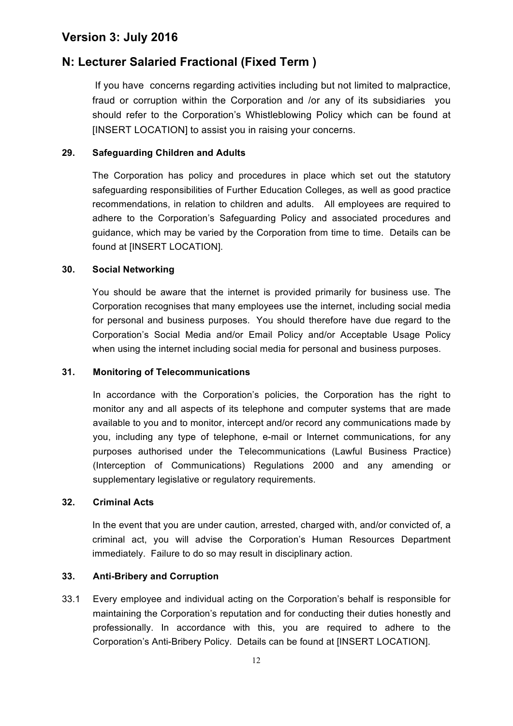# **N: Lecturer Salaried Fractional (Fixed Term )**

If you have concerns regarding activities including but not limited to malpractice, fraud or corruption within the Corporation and /or any of its subsidiaries you should refer to the Corporation's Whistleblowing Policy which can be found at [INSERT LOCATION] to assist you in raising your concerns.

#### **29. Safeguarding Children and Adults**

The Corporation has policy and procedures in place which set out the statutory safeguarding responsibilities of Further Education Colleges, as well as good practice recommendations, in relation to children and adults. All employees are required to adhere to the Corporation's Safeguarding Policy and associated procedures and guidance, which may be varied by the Corporation from time to time. Details can be found at [INSERT LOCATION].

#### **30. Social Networking**

You should be aware that the internet is provided primarily for business use. The Corporation recognises that many employees use the internet, including social media for personal and business purposes. You should therefore have due regard to the Corporation's Social Media and/or Email Policy and/or Acceptable Usage Policy when using the internet including social media for personal and business purposes.

#### **31. Monitoring of Telecommunications**

In accordance with the Corporation's policies, the Corporation has the right to monitor any and all aspects of its telephone and computer systems that are made available to you and to monitor, intercept and/or record any communications made by you, including any type of telephone, e-mail or Internet communications, for any purposes authorised under the Telecommunications (Lawful Business Practice) (Interception of Communications) Regulations 2000 and any amending or supplementary legislative or regulatory requirements.

#### **32. Criminal Acts**

In the event that you are under caution, arrested, charged with, and/or convicted of, a criminal act, you will advise the Corporation's Human Resources Department immediately. Failure to do so may result in disciplinary action.

#### **33. Anti-Bribery and Corruption**

33.1 Every employee and individual acting on the Corporation's behalf is responsible for maintaining the Corporation's reputation and for conducting their duties honestly and professionally. In accordance with this, you are required to adhere to the Corporation's Anti-Bribery Policy. Details can be found at [INSERT LOCATION].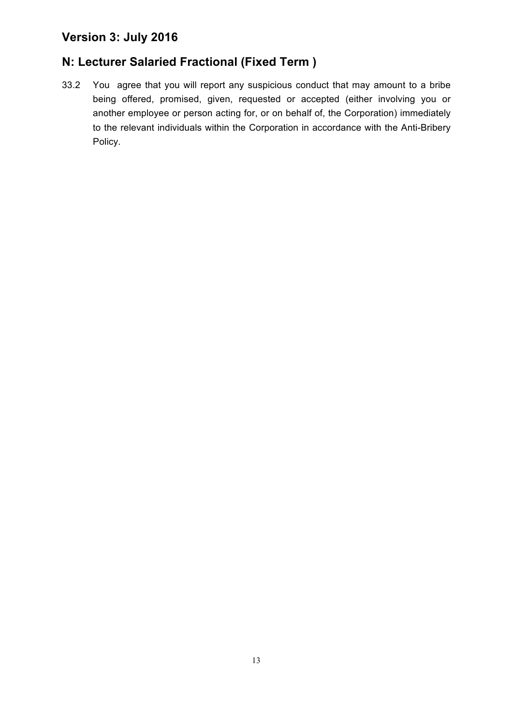# **N: Lecturer Salaried Fractional (Fixed Term )**

33.2 You agree that you will report any suspicious conduct that may amount to a bribe being offered, promised, given, requested or accepted (either involving you or another employee or person acting for, or on behalf of, the Corporation) immediately to the relevant individuals within the Corporation in accordance with the Anti-Bribery Policy.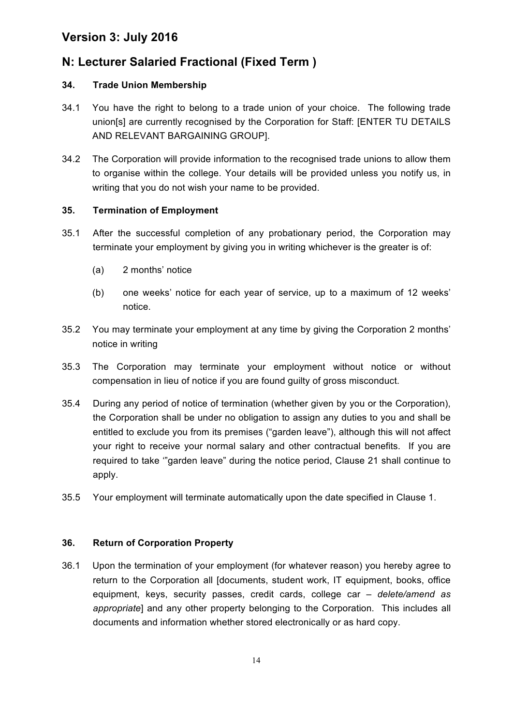# **N: Lecturer Salaried Fractional (Fixed Term )**

#### **34. Trade Union Membership**

- 34.1 You have the right to belong to a trade union of your choice. The following trade union[s] are currently recognised by the Corporation for Staff: [ENTER TU DETAILS AND RELEVANT BARGAINING GROUP].
- 34.2 The Corporation will provide information to the recognised trade unions to allow them to organise within the college. Your details will be provided unless you notify us, in writing that you do not wish your name to be provided.

#### **35. Termination of Employment**

- 35.1 After the successful completion of any probationary period, the Corporation may terminate your employment by giving you in writing whichever is the greater is of:
	- (a) 2 months' notice
	- (b) one weeks' notice for each year of service, up to a maximum of 12 weeks' notice.
- 35.2 You may terminate your employment at any time by giving the Corporation 2 months' notice in writing
- 35.3 The Corporation may terminate your employment without notice or without compensation in lieu of notice if you are found guilty of gross misconduct.
- 35.4 During any period of notice of termination (whether given by you or the Corporation), the Corporation shall be under no obligation to assign any duties to you and shall be entitled to exclude you from its premises ("garden leave"), although this will not affect your right to receive your normal salary and other contractual benefits. If you are required to take '"garden leave" during the notice period, Clause 21 shall continue to apply.
- 35.5 Your employment will terminate automatically upon the date specified in Clause 1.

#### **36. Return of Corporation Property**

36.1 Upon the termination of your employment (for whatever reason) you hereby agree to return to the Corporation all [documents, student work, IT equipment, books, office equipment, keys, security passes, credit cards, college car *– delete/amend as appropriate*] and any other property belonging to the Corporation. This includes all documents and information whether stored electronically or as hard copy.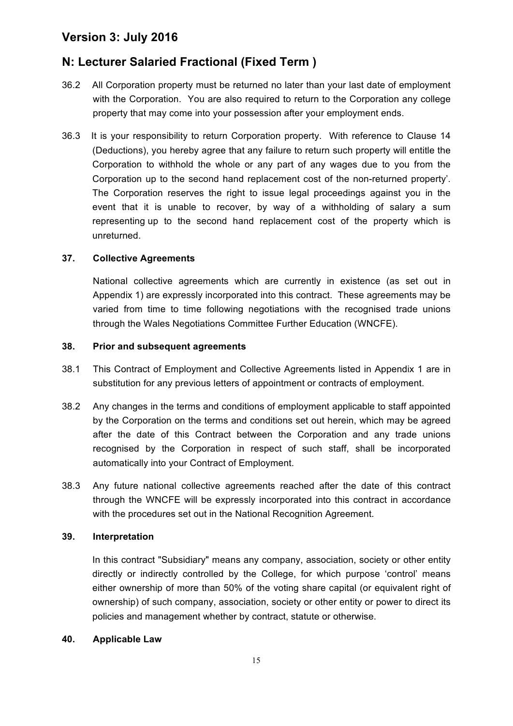# **N: Lecturer Salaried Fractional (Fixed Term )**

- 36.2 All Corporation property must be returned no later than your last date of employment with the Corporation. You are also required to return to the Corporation any college property that may come into your possession after your employment ends.
- 36.3 It is your responsibility to return Corporation property. With reference to Clause 14 (Deductions), you hereby agree that any failure to return such property will entitle the Corporation to withhold the whole or any part of any wages due to you from the Corporation up to the second hand replacement cost of the non-returned property'. The Corporation reserves the right to issue legal proceedings against you in the event that it is unable to recover, by way of a withholding of salary a sum representing up to the second hand replacement cost of the property which is unreturned.

#### **37. Collective Agreements**

National collective agreements which are currently in existence (as set out in Appendix 1) are expressly incorporated into this contract. These agreements may be varied from time to time following negotiations with the recognised trade unions through the Wales Negotiations Committee Further Education (WNCFE).

#### **38. Prior and subsequent agreements**

- 38.1 This Contract of Employment and Collective Agreements listed in Appendix 1 are in substitution for any previous letters of appointment or contracts of employment.
- 38.2 Any changes in the terms and conditions of employment applicable to staff appointed by the Corporation on the terms and conditions set out herein, which may be agreed after the date of this Contract between the Corporation and any trade unions recognised by the Corporation in respect of such staff, shall be incorporated automatically into your Contract of Employment.
- 38.3 Any future national collective agreements reached after the date of this contract through the WNCFE will be expressly incorporated into this contract in accordance with the procedures set out in the National Recognition Agreement.

#### **39. Interpretation**

In this contract "Subsidiary" means any company, association, society or other entity directly or indirectly controlled by the College, for which purpose 'control' means either ownership of more than 50% of the voting share capital (or equivalent right of ownership) of such company, association, society or other entity or power to direct its policies and management whether by contract, statute or otherwise.

#### **40. Applicable Law**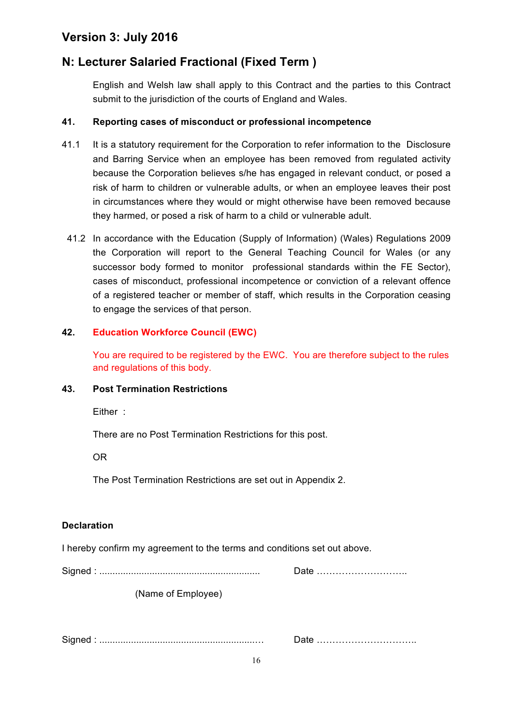# **N: Lecturer Salaried Fractional (Fixed Term )**

English and Welsh law shall apply to this Contract and the parties to this Contract submit to the jurisdiction of the courts of England and Wales.

#### **41. Reporting cases of misconduct or professional incompetence**

- 41.1 It is a statutory requirement for the Corporation to refer information to the Disclosure and Barring Service when an employee has been removed from regulated activity because the Corporation believes s/he has engaged in relevant conduct, or posed a risk of harm to children or vulnerable adults, or when an employee leaves their post in circumstances where they would or might otherwise have been removed because they harmed, or posed a risk of harm to a child or vulnerable adult.
- 41.2 In accordance with the Education (Supply of Information) (Wales) Regulations 2009 the Corporation will report to the General Teaching Council for Wales (or any successor body formed to monitor professional standards within the FE Sector), cases of misconduct, professional incompetence or conviction of a relevant offence of a registered teacher or member of staff, which results in the Corporation ceasing to engage the services of that person.

#### **42. Education Workforce Council (EWC)**

You are required to be registered by the EWC. You are therefore subject to the rules and regulations of this body.

#### **43. Post Termination Restrictions**

Either :

There are no Post Termination Restrictions for this post.

OR

The Post Termination Restrictions are set out in Appendix 2.

#### **Declaration**

I hereby confirm my agreement to the terms and conditions set out above.

Signed : ............................................................. Date ………………………..

(Name of Employee)

Signed : ...........................................................… Date …………………………..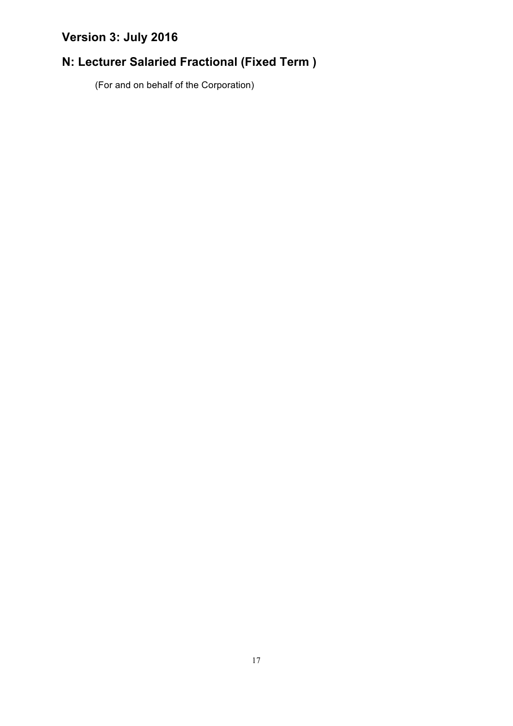# **N: Lecturer Salaried Fractional (Fixed Term )**

(For and on behalf of the Corporation)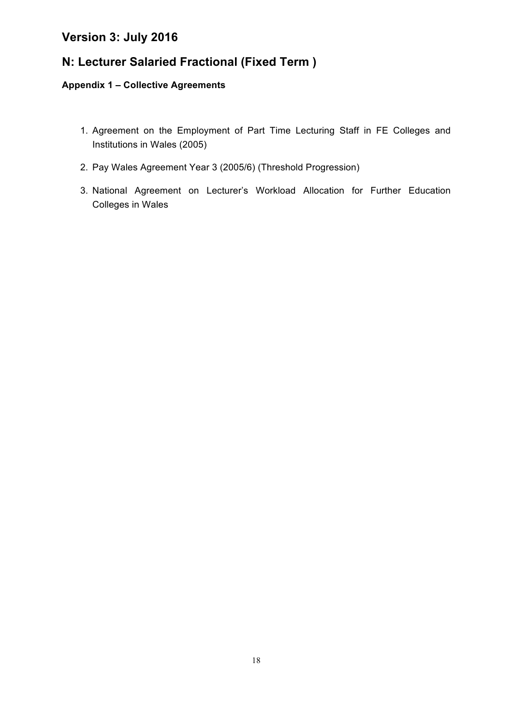# **N: Lecturer Salaried Fractional (Fixed Term )**

#### **Appendix 1 – Collective Agreements**

- 1. Agreement on the Employment of Part Time Lecturing Staff in FE Colleges and Institutions in Wales (2005)
- 2. Pay Wales Agreement Year 3 (2005/6) (Threshold Progression)
- 3. National Agreement on Lecturer's Workload Allocation for Further Education Colleges in Wales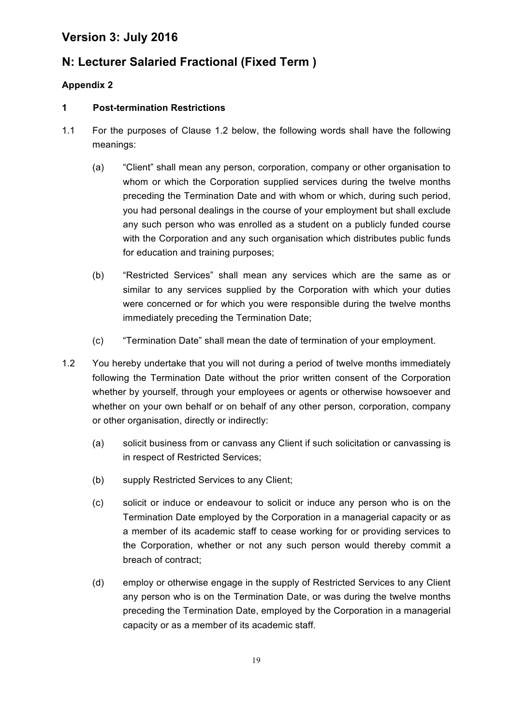# **N: Lecturer Salaried Fractional (Fixed Term )**

#### **Appendix 2**

#### **1 Post-termination Restrictions**

- 1.1 For the purposes of Clause 1.2 below, the following words shall have the following meanings:
	- (a) "Client" shall mean any person, corporation, company or other organisation to whom or which the Corporation supplied services during the twelve months preceding the Termination Date and with whom or which, during such period, you had personal dealings in the course of your employment but shall exclude any such person who was enrolled as a student on a publicly funded course with the Corporation and any such organisation which distributes public funds for education and training purposes;
	- (b) "Restricted Services" shall mean any services which are the same as or similar to any services supplied by the Corporation with which your duties were concerned or for which you were responsible during the twelve months immediately preceding the Termination Date;
	- (c) "Termination Date" shall mean the date of termination of your employment.
- 1.2 You hereby undertake that you will not during a period of twelve months immediately following the Termination Date without the prior written consent of the Corporation whether by yourself, through your employees or agents or otherwise howsoever and whether on your own behalf or on behalf of any other person, corporation, company or other organisation, directly or indirectly:
	- (a) solicit business from or canvass any Client if such solicitation or canvassing is in respect of Restricted Services;
	- (b) supply Restricted Services to any Client;
	- (c) solicit or induce or endeavour to solicit or induce any person who is on the Termination Date employed by the Corporation in a managerial capacity or as a member of its academic staff to cease working for or providing services to the Corporation, whether or not any such person would thereby commit a breach of contract;
	- (d) employ or otherwise engage in the supply of Restricted Services to any Client any person who is on the Termination Date, or was during the twelve months preceding the Termination Date, employed by the Corporation in a managerial capacity or as a member of its academic staff.